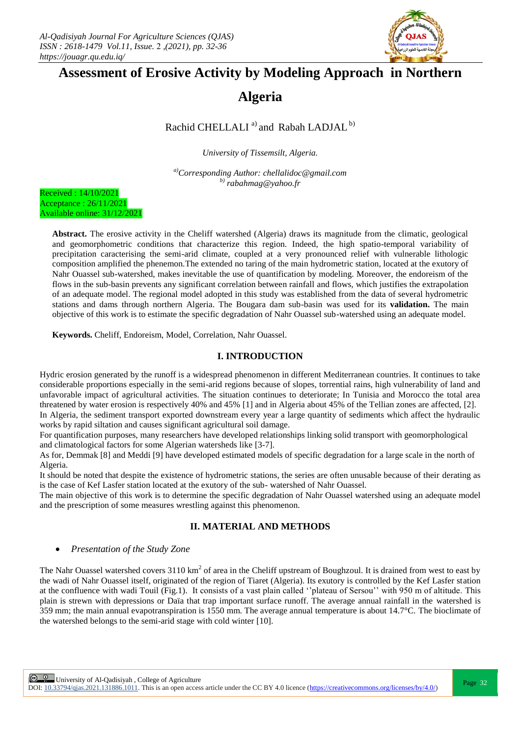

# **Assessment of Erosive Activity by Modeling Approach in Northern**

**Algeria**

Rachid CHELLALI<sup>a)</sup> and Rabah LADJAL<sup>b)</sup>

*University of Tissemsilt, Algeria.*

*a)Corresponding Author: chellalidoc@gmail.com b) rabahmag@yahoo.fr*

Received : 14/10/2021 Acceptance : 26/11/2021 Available online: 31/12/2021

> **Abstract.** The erosive activity in the Cheliff watershed (Algeria) draws its magnitude from the climatic, geological and geomorphometric conditions that characterize this region. Indeed, the high spatio-temporal variability of precipitation caracterising the semi-arid climate, coupled at a very pronounced relief with vulnerable lithologic composition amplified the phenemon.The extended no taring of the main hydrometric station, located at the exutory of Nahr Ouassel sub-watershed, makes inevitable the use of quantification by modeling. Moreover, the endoreism of the flows in the sub-basin prevents any significant correlation between rainfall and flows, which justifies the extrapolation of an adequate model. The regional model adopted in this study was established from the data of several hydrometric stations and dams through northern Algeria. The Bougara dam sub-basin was used for its **validation.** The main objective of this work is to estimate the specific degradation of Nahr Ouassel sub-watershed using an adequate model.

**Keywords.** Cheliff, Endoreism, Model, Correlation, Nahr Ouassel.

# **I. INTRODUCTION**

Hydric erosion generated by the runoff is a widespread phenomenon in different Mediterranean countries. It continues to take considerable proportions especially in the semi-arid regions because of slopes, torrential rains, high vulnerability of land and unfavorable impact of agricultural activities. The situation continues to deteriorate; In Tunisia and Morocco the total area threatened by water erosion is respectively 40% and 45% [1] and in Algeria about 45% of the Tellian zones are affected, [2]. In Algeria, the sediment transport exported downstream every year a large quantity of sediments which affect the hydraulic works by rapid siltation and causes significant agricultural soil damage.

For quantification purposes, many researchers have developed relationships linking solid transport with geomorphological and climatological factors for some Algerian watersheds like [3-7].

As for, Demmak [8] and Meddi [9] have developed estimated models of specific degradation for a large scale in the north of Algeria.

It should be noted that despite the existence of hydrometric stations, the series are often unusable because of their derating as is the case of Kef Lasfer station located at the exutory of the sub- watershed of Nahr Ouassel.

The main objective of this work is to determine the specific degradation of Nahr Ouassel watershed using an adequate model and the prescription of some measures wrestling against this phenomenon.

# **II. MATERIAL AND METHODS**

*Presentation of the Study Zone*

The Nahr Ouassel watershed covers  $3110 \text{ km}^2$  of area in the Cheliff upstream of Boughzoul. It is drained from west to east by the wadi of Nahr Ouassel itself, originated of the region of Tiaret (Algeria). Its exutory is controlled by the Kef Lasfer station at the confluence with wadi Touil (Fig.1). It consists of a vast plain called ''plateau of Sersou'' with 950 m of altitude. This plain is strewn with depressions or Daïa that trap important surface runoff. The average annual rainfall in the watershed is 359 mm; the main annual evapotranspiration is 1550 mm. The average annual temperature is about 14.7°C. The bioclimate of the watershed belongs to the semi-arid stage with cold winter [10].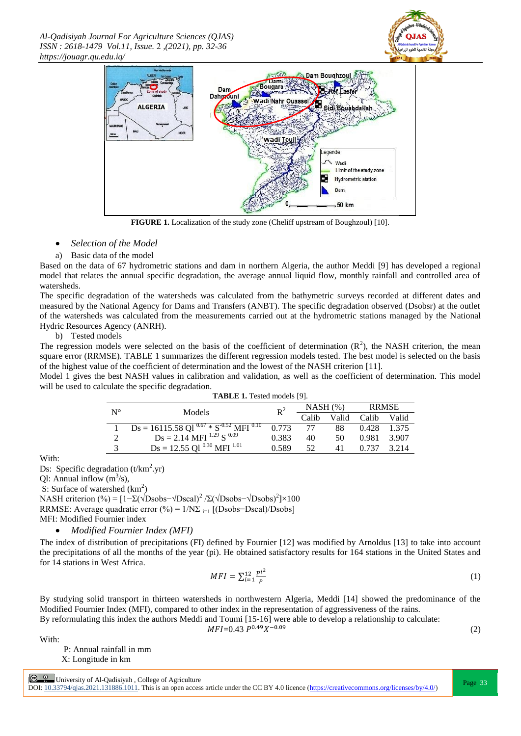*Al-Qadisiyah Journal For Agriculture Sciences (QJAS) ISSN : 2618-1479 Vol.11, Issue.* 2 *,(2021), pp. 32-36 https://jouagr.qu.edu.iq/*





**FIGURE 1.** Localization of the study zone (Cheliff upstream of Boughzoul) [10].

### *Selection of the Model*

#### a) Basic data of the model

Based on the data of 67 hydrometric stations and dam in northern Algeria, the author Meddi [9] has developed a regional model that relates the annual specific degradation, the average annual liquid flow, monthly rainfall and controlled area of watersheds.

The specific degradation of the watersheds was calculated from the bathymetric surveys recorded at different dates and measured by the National Agency for Dams and Transfers (ANBT). The specific degradation observed (Dsobsr) at the outlet of the watersheds was calculated from the measurements carried out at the hydrometric stations managed by the National Hydric Resources Agency (ANRH).

b) Tested models

The regression models were selected on the basis of the coefficient of determination  $(R^2)$ , the NASH criterion, the mean square error (RRMSE). TABLE 1 summarizes the different regression models tested. The best model is selected on the basis of the highest value of the coefficient of determination and the lowest of the NASH criterion [11].

Model 1 gives the best NASH values in calibration and validation, as well as the coefficient of determination. This model will be used to calculate the specific degradation.

| <b>TABLE 1.</b> Tested models [9]. |                                                                             |                |            |       |       |         |
|------------------------------------|-----------------------------------------------------------------------------|----------------|------------|-------|-------|---------|
| $N^{\circ}$                        | Models                                                                      | $\mathbf{p}^2$ | $NASH$ (%) |       | RRMSE |         |
|                                    |                                                                             |                | Calib      | Valid | Calib | – Valid |
|                                    | $Ds = 161\overline{15.58 \text{ Q1}^{0.67} * S^{-0.52} \text{ MFI}^{0.10}}$ | 0.773          | 77         | 88    | 0.428 | 1.375   |
|                                    | $Ds = 2.14 \text{ MFI}^{1.29} \text{S}^{0.09}$                              | 0.383          | 40         | 50    | 0.981 | 3.907   |
| 3                                  | $Ds = 12.55$ Ql $^{0.30}$ MFI $^{1.01}$                                     | 0.589          | 52         | 41    | 0.737 | 3.214   |

With:

Ds: Specific degradation  $(t/km^2 \text{yr})$ 

QI: Annual inflow  $(m^3/s)$ ,

S: Surface of watershed  $(km^2)$ 

NASH criterion (%) =  $[1-\Sigma(\sqrt{D}sobs-\sqrt{D}scal)^2/\Sigma(\sqrt{D}sobs-\sqrt{D}sobs)^2]\times 100$ RRMSE: Average quadratic error (%) =  $1/N\Sigma$ <sub>i=1</sub> [(Dsobs-Dscal)/Dsobs] MFI: Modified Fournier index

*Modified Fournier Index (MFI)* 

The index of distribution of precipitations (FI) defined by Fournier [12] was modified by Arnoldus [13] to take into account the precipitations of all the months of the year (pi). He obtained satisfactory results for 164 stations in the United States and for 14 stations in West Africa.

$$
MFI = \sum_{i=1}^{12} \frac{pi^2}{p}
$$
 (1)

By studying solid transport in thirteen watersheds in northwestern Algeria, Meddi [14] showed the predominance of the Modified Fournier Index (MFI), compared to other index in the representation of aggressiveness of the rains.

By reformulating this index the authors Meddi and Toumi [15-16] were able to develop a relationship to calculate:

$$
MFI=0.43 \ P^{0.49}X^{-0.09} \tag{2}
$$

With:

 P: Annual rainfall in mm X: Longitude in km

 $\circledcirc$  University of Al-Qadisiyah , College of Agriculture

DOI:  $10.33794/q$ jas.2021.131886.1011. This is an open access article under the CC BY 4.0 licence (https://creativecommons.org/licenses/by/4.0/)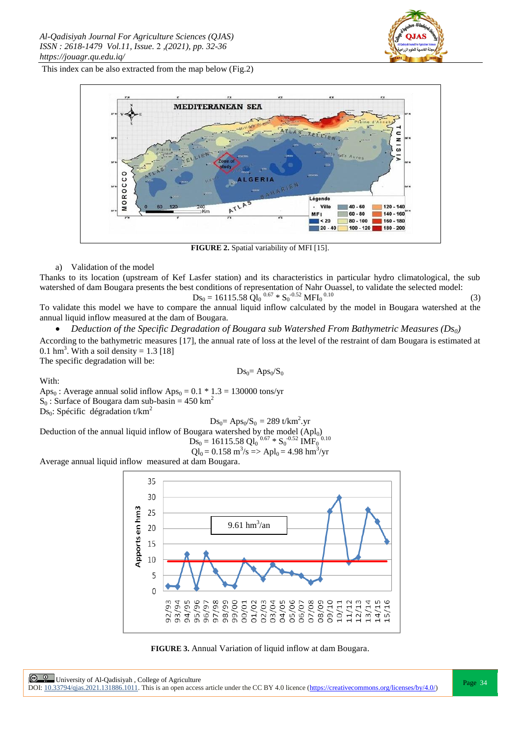

This index can be also extracted from the map below (Fig.2)



**FIGURE 2.** Spatial variability of MFI [15].

## a) Validation of the model

Thanks to its location (upstream of Kef Lasfer station) and its characteristics in particular hydro climatological, the sub watershed of dam Bougara presents the best conditions of representation of Nahr Ouassel, to validate the selected model:

$$
Ds_0 = 16115.58 \text{ } \dot{Q}l_0 \text{ }^{0.67} * S_0^{-0.52} \text{ MFI}_0 \text{ }^{0.10} \tag{3}
$$

To validate this model we have to compare the annual liquid inflow calculated by the model in Bougara watershed at the annual liquid inflow measured at the dam of Bougara.

*Deduction of the Specific Degradation of Bougara sub Watershed From Bathymetric Measures (Ds0)*

According to the bathymetric measures [17], the annual rate of loss at the level of the restraint of dam Bougara is estimated at 0.1 hm<sup>3</sup>. With a soil density =  $1.3$  [18]

The specific degradation will be:

$$
Ds_0 = Aps_0/S_0
$$

With:

Aps<sub>0</sub>: Average annual solid inflow Aps<sub>0</sub> =  $0.1 * 1.3 = 130000$  tons/yr  $S_0$ : Surface of Bougara dam sub-basin = 450 km<sup>2</sup>  $Ds_0$ : Spécific dégradation t/km<sup>2</sup>

$$
Ds_0 = Aps_0/S_0 = 289 \text{ t/km}^2.\text{yr}
$$

Deduction of the annual liquid inflow of Bougara watershed by the model (Apl<sub>0</sub>)<br>  $\sum_{n=1}^{\infty}$  = 16115 58 Ol. <sup>0.67</sup> \* S<sup>-0.52</sup> IME<sup>0.10</sup>

$$
Ds_0 = 16115.58 \text{ Ql}_0^{0.67} * S_0^{-0.52} \text{IMF}_0^{0.10}
$$

$$
Ql_0 = 0.158 \text{ m}^3/\text{s} \Rightarrow \text{Apl}_0 = 4.98 \text{ hm}^3/\text{yr}
$$

Average annual liquid inflowmeasured at dam Bougara.



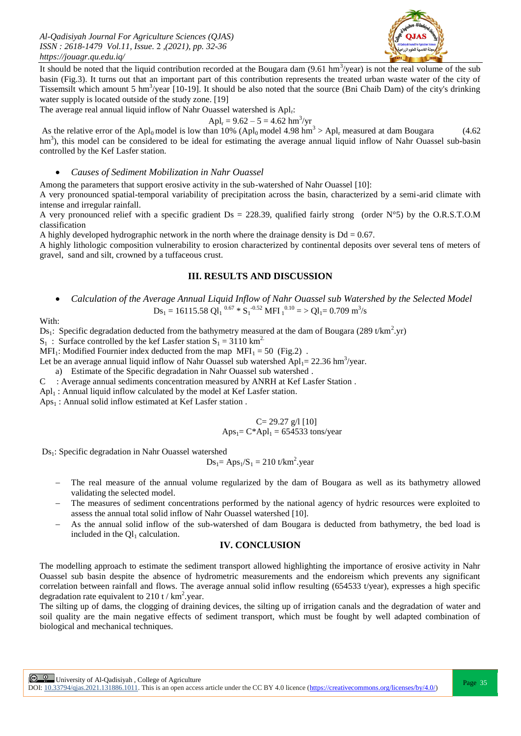*Al-Qadisiyah Journal For Agriculture Sciences (QJAS) ISSN : 2618-1479 Vol.11, Issue.* 2 *,(2021), pp. 32-36 https://jouagr.qu.edu.iq/*



It should be noted that the liquid contribution recorded at the Bougara dam  $(9.61 \text{ hm}^3/\text{year})$  is not the real volume of the sub basin (Fig.3). It turns out that an important part of this contribution represents the treated urban waste water of the city of Tissemsilt which amount 5 hm<sup>3</sup>/year [10-19]. It should be also noted that the source (Bni Chaib Dam) of the city's drinking water supply is located outside of the study zone. [19]

The average real annual liquid inflow of Nahr Ouassel watershed is Apl<sub>r</sub>:

$$
Apl_r = 9.62 - 5 = 4.62 \text{ hm}^3/\text{yr}
$$

As the relative error of the Apl<sub>0</sub> model is low than 10% (Apl<sub>0</sub> model 4.98 hm<sup>3</sup> > Apl<sub>r</sub> measured at dam Bougara (4.62) hm<sup>3</sup>), this model can be considered to be ideal for estimating the average annual liquid inflow of Nahr Ouassel sub-basin controlled by the Kef Lasfer station.

#### *Causes of Sediment Mobilization in Nahr Ouassel*

Among the parameters that support erosive activity in the sub-watershed of Nahr Ouassel [10]:

A very pronounced spatial-temporal variability of precipitation across the basin, characterized by a semi-arid climate with intense and irregular rainfall.

A very pronounced relief with a specific gradient  $Ds = 228.39$ , qualified fairly strong (order N°5) by the O.R.S.T.O.M classification

A highly developed hydrographic network in the north where the drainage density is  $Dd = 0.67$ .

A highly lithologic composition vulnerability to erosion characterized by continental deposits over several tens of meters of gravel, sand and silt, crowned by a tuffaceous crust.

# **III. RESULTS AND DISCUSSION**

 *Calculation of the Average Annual Liquid Inflow of Nahr Ouassel sub Watershed by the Selected Model*  $Ds_1 = 16115.58 \text{ Ql}_1^{0.67} * S_1^{-0.52} \text{ MFI}_1^{0.10} = \text{Ql}_1 = 0.709 \text{ m}^3/\text{s}$ 

With:

Ds<sub>1</sub>: Specific degradation deducted from the bathymetry measured at the dam of Bougara (289 t/km<sup>2</sup>.yr)

 $S_1$ : Surface controlled by the kef Lasfer station  $S_1 = 3110 \text{ km}^2$ .

MFI<sub>1</sub>: Modified Fournier index deducted from the map  $MFI_1 = 50$  (Fig.2).

Let be an average annual liquid inflow of Nahr Ouassel sub watershed  $Apl<sub>1</sub> = 22.36$  hm<sup>3</sup>/year.

a) Estimate of the Specific degradation in Nahr Ouassel sub watershed .

C : Average annual sediments concentration measured by ANRH at Kef Lasfer Station .

 $Apl<sub>1</sub>$ : Annual liquid inflow calculated by the model at Kef Lasfer station.

 $Ans<sub>1</sub>$ : Annual solid inflow estimated at Kef Lasfer station.

$$
C = 29.27 \text{ g}/1 [10]
$$
  
Ans<sub>1</sub>= C\*Apl<sub>1</sub> = 654533 tons/year

Ds<sub>1</sub>: Specific degradation in Nahr Ouassel watershed

$$
Ds_1 = Aps_1/S_1 = 210 \text{ t/km}^2.\text{year}
$$

- The real measure of the annual volume regularized by the dam of Bougara as well as its bathymetry allowed validating the selected model.
- The measures of sediment concentrations performed by the national agency of hydric resources were exploited to assess the annual total solid inflow of Nahr Ouassel watershed [10].
- As the annual solid inflow of the sub-watershed of dam Bougara is deducted from bathymetry, the bed load is included in the  $Ql_1$  calculation.

## **IV. CONCLUSION**

The modelling approach to estimate the sediment transport allowed highlighting the importance of erosive activity in Nahr Ouassel sub basin despite the absence of hydrometric measurements and the endoreism which prevents any significant correlation between rainfall and flows. The average annual solid inflow resulting  $(654533 t/year)$ , expresses a high specific degradation rate equivalent to 210 t /  $km^2$ .year.

The silting up of dams, the clogging of draining devices, the silting up of irrigation canals and the degradation of water and soil quality are the main negative effects of sediment transport, which must be fought by well adapted combination of biological and mechanical techniques.